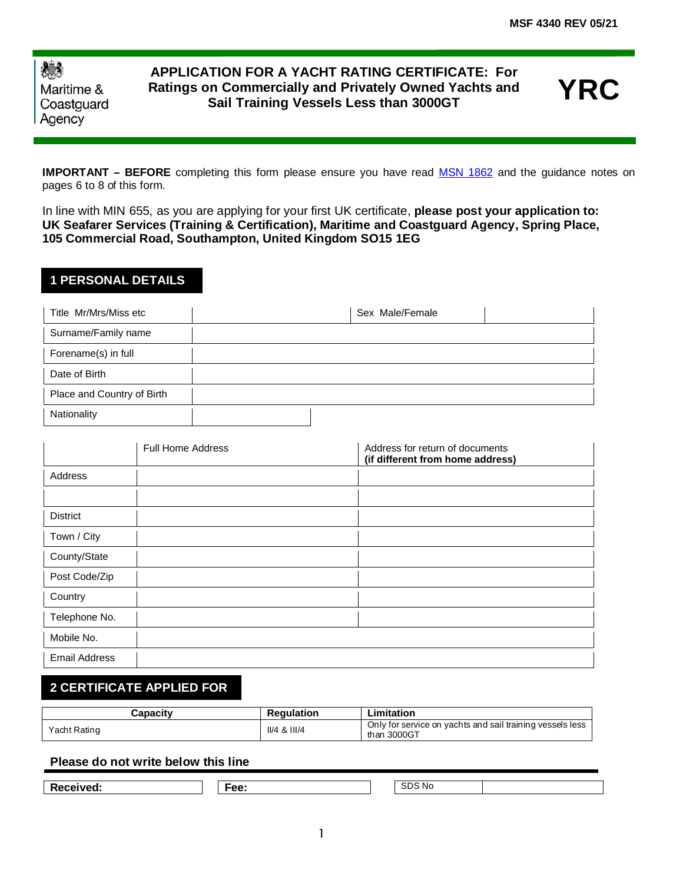| 機          |
|------------|
| Maritime & |
| Coastguard |
| Agency     |

Ī

## **APPLICATION FOR A YACHT RATING CERTIFICATE: For Ratings on Commercially and Privately Owned Yachts and Sail Training Vessels Less than 3000GT**

**YRC**

**IMPORTANT – BEFORE** completing this form please ensure you have read [MSN 1862](https://www.gov.uk/government/publications/msn-1862-m-uk-requirements-for-deck-ratings) and the guidance notes on pages 6 to 8 of this form.

In line with MIN 655, as you are applying for your first UK certificate, **please post your application to: UK Seafarer Services (Training & Certification), Maritime and Coastguard Agency, Spring Place, 105 Commercial Road, Southampton, United Kingdom SO15 1EG**

## **1 PERSONAL DETAILS**

| Title Mr/Mrs/Miss etc      | Sex Male/Female |  |
|----------------------------|-----------------|--|
| Surname/Family name        |                 |  |
| Forename(s) in full        |                 |  |
| Date of Birth              |                 |  |
| Place and Country of Birth |                 |  |
| Nationality                |                 |  |

|                      | <b>Full Home Address</b> | Address for return of documents<br>(if different from home address) |
|----------------------|--------------------------|---------------------------------------------------------------------|
| Address              |                          |                                                                     |
|                      |                          |                                                                     |
| <b>District</b>      |                          |                                                                     |
| Town / City          |                          |                                                                     |
| County/State         |                          |                                                                     |
| Post Code/Zip        |                          |                                                                     |
| Country              |                          |                                                                     |
| Telephone No.        |                          |                                                                     |
| Mobile No.           |                          |                                                                     |
| <b>Email Address</b> |                          |                                                                     |

## **2 CERTIFICATE APPLIED FOR**

| <b>Capacity</b> | <b>Regulation</b> | ∟imitation                                                               |
|-----------------|-------------------|--------------------------------------------------------------------------|
| Yacht Rating    | $II/4$ & $III/4$  | Only for service on yachts and sail training vessels less<br>than 3000GT |

### **Please do not write below this line**

**Received:** Fee: SDS No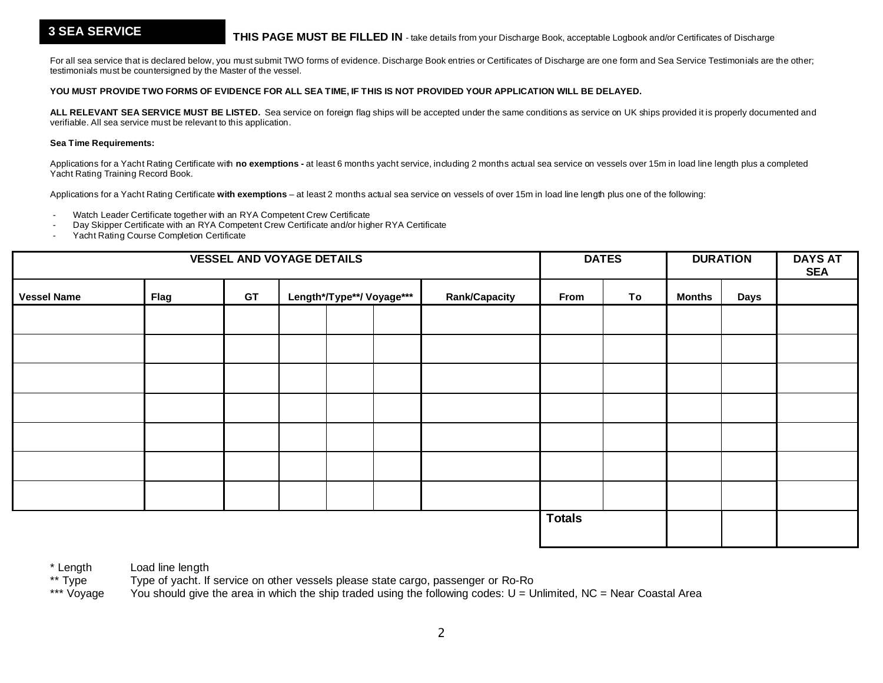### **3 SEA SERVICE**

For all sea service that is declared below, you must submit TWO forms of evidence. Discharge Book entries or Certificates of Discharge are one form and Sea Service Testimonials are the other; testimonials must be countersigned by the Master of the vessel.

#### **YOU MUST PROVIDE TWO FORMS OF EVIDENCE FOR ALL SEA TIME, IF THIS IS NOT PROVIDED YOUR APPLICATION WILL BE DELAYED.**

ALL RELEVANT SEA SERVICE MUST BE LISTED. Sea service on foreign flag ships will be accepted under the same conditions as service on UK ships provided it is properly documented and verifiable. All sea service must be relevant to this application.

#### **Sea Time Requirements:**

Applications for a Yacht Rating Certificate with **no exemptions -** at least 6 months yacht service, including 2 months actual sea service on vessels over 15m in load line length plus a completed Yacht Rating Training Record Book.

Applications for a Yacht Rating Certificate **with exemptions** – at least 2 months actual sea service on vessels of over 15m in load line length plus one of the following:

- Watch Leader Certificate together with an RYA Competent Crew Certificate

- Day Skipper Certificate with an RYA Competent Crew Certificate and/or higher RYA Certificate
- Yacht Rating Course Completion Certificate

| <b>VESSEL AND VOYAGE DETAILS</b> |             |           |  |  | <b>DATES</b>              |                      | <b>DURATION</b> |    | <b>DAYS AT</b><br><b>SEA</b> |      |  |
|----------------------------------|-------------|-----------|--|--|---------------------------|----------------------|-----------------|----|------------------------------|------|--|
| <b>Vessel Name</b>               | <b>Flag</b> | <b>GT</b> |  |  | Length*/Type**/ Voyage*** | <b>Rank/Capacity</b> | From            | To | <b>Months</b>                | Days |  |
|                                  |             |           |  |  |                           |                      |                 |    |                              |      |  |
|                                  |             |           |  |  |                           |                      |                 |    |                              |      |  |
|                                  |             |           |  |  |                           |                      |                 |    |                              |      |  |
|                                  |             |           |  |  |                           |                      |                 |    |                              |      |  |
|                                  |             |           |  |  |                           |                      |                 |    |                              |      |  |
|                                  |             |           |  |  |                           |                      |                 |    |                              |      |  |
|                                  |             |           |  |  |                           |                      |                 |    |                              |      |  |
|                                  |             |           |  |  |                           |                      | <b>Totals</b>   |    |                              |      |  |

\* Length Load line length<br>\*\* Type Type of yacht. If

\*\* Type Type of yacht. If service on other vessels please state cargo, passenger or Ro-Ro<br>\*\*\* Vovage You should give the area in which the ship traded using the following codes: U = U

You should give the area in which the ship traded using the following codes:  $U =$  Unlimited, NC = Near Coastal Area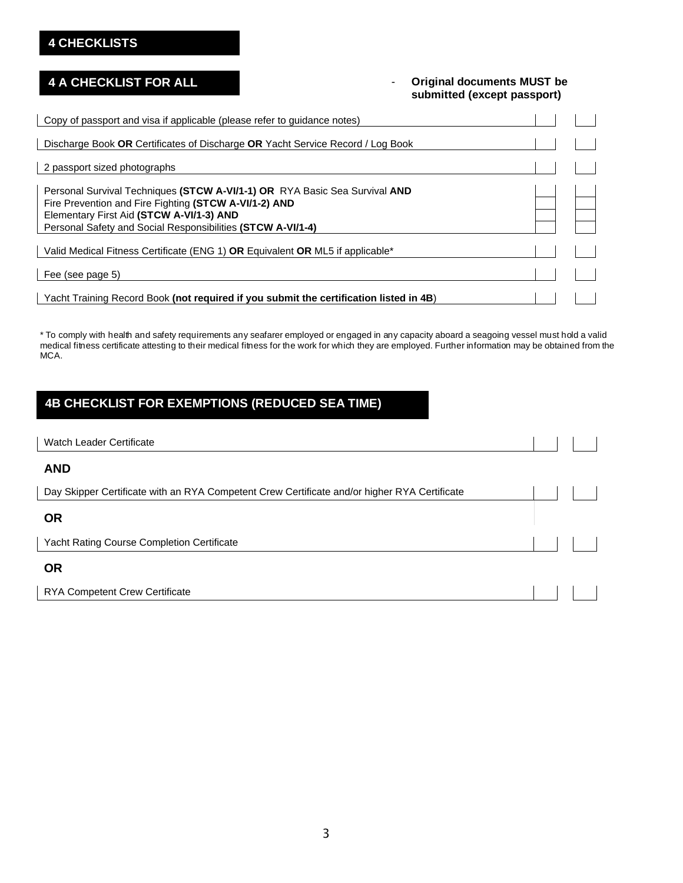## **4 CHECKLISTS**

## **4 A CHECKLIST FOR ALL**

### - **Original documents MUST be submitted (except passport)**

| Copy of passport and visa if applicable (please refer to guidance notes)                          |  |
|---------------------------------------------------------------------------------------------------|--|
| Discharge Book OR Certificates of Discharge OR Yacht Service Record / Log Book                    |  |
| 2 passport sized photographs                                                                      |  |
| Personal Survival Techniques (STCW A-VI/1-1) OR RYA Basic Sea Survival AND                        |  |
| Fire Prevention and Fire Fighting (STCW A-VI/1-2) AND<br>Elementary First Aid (STCW A-VI/1-3) AND |  |
| Personal Safety and Social Responsibilities (STCW A-VI/1-4)                                       |  |
| Valid Medical Fitness Certificate (ENG 1) OR Equivalent OR ML5 if applicable*                     |  |
| Fee (see page 5)                                                                                  |  |
| Yacht Training Record Book (not required if you submit the certification listed in 4B)            |  |

\* To comply with health and safety requirements any seafarer employed or engaged in any capacity aboard a seagoing vessel must hold a valid medical fitness certificate attesting to their medical fitness for the work for which they are employed. Further information may be obtained from the MCA.

# **4B CHECKLIST FOR EXEMPTIONS (REDUCED SEA TIME)**

| <b>Watch Leader Certificate</b>                                                              |  |  |
|----------------------------------------------------------------------------------------------|--|--|
| <b>AND</b>                                                                                   |  |  |
| Day Skipper Certificate with an RYA Competent Crew Certificate and/or higher RYA Certificate |  |  |
| <b>OR</b>                                                                                    |  |  |
| <b>Yacht Rating Course Completion Certificate</b>                                            |  |  |
| <b>OR</b>                                                                                    |  |  |
| <b>RYA Competent Crew Certificate</b>                                                        |  |  |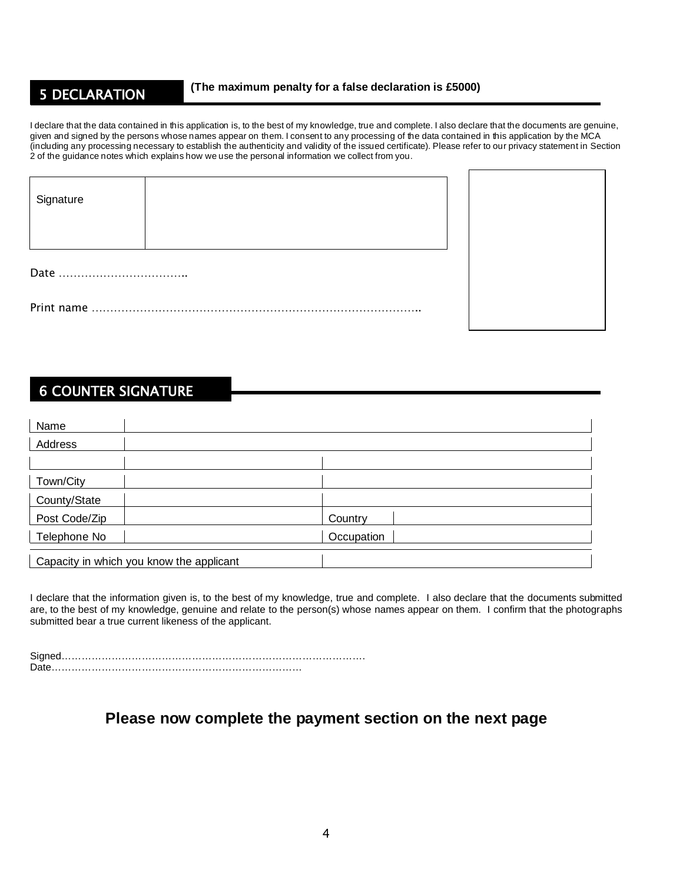## 5 DECLARATION

L

I declare that the data contained in this application is, to the best of my knowledge, true and complete. I also declare that the documents are genuine, given and signed by the persons whose names appear on them. I consent to any processing of the data contained in this application by the MCA (including any processing necessary to establish the authenticity and validity of the issued certificate). Please refer to our privacy statement in Section 2 of the guidance notes which explains how we use the personal information we collect from you.

| Signature |  |
|-----------|--|
|           |  |
|           |  |
|           |  |



# 6 COUNTER SIGNATURE

| Name                                     |            |
|------------------------------------------|------------|
| Address                                  |            |
|                                          |            |
| Town/City                                |            |
| County/State                             |            |
| Post Code/Zip                            | Country    |
| Telephone No                             | Occupation |
| Capacity in which you know the applicant |            |

I declare that the information given is, to the best of my knowledge, true and complete. I also declare that the documents submitted are, to the best of my knowledge, genuine and relate to the person(s) whose names appear on them. I confirm that the photographs submitted bear a true current likeness of the applicant.

Signed………………………………………………………………………………. Date…………………………………………………………………

## **Please now complete the payment section on the next page**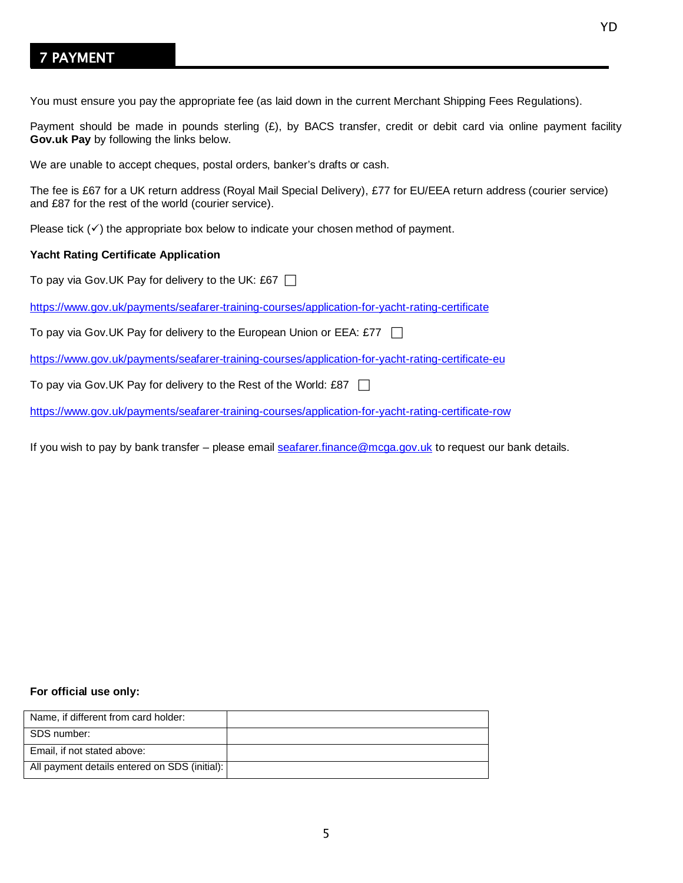# 7 PAYMENT

You must ensure you pay the appropriate fee (as laid down in the current Merchant Shipping Fees Regulations).

Payment should be made in pounds sterling  $(E)$ , by BACS transfer, credit or debit card via online payment facility **Gov.uk Pay** by following the links below.

We are unable to accept cheques, postal orders, banker's drafts or cash.

The fee is £67 for a UK return address (Royal Mail Special Delivery), £77 for EU/EEA return address (courier service) and £87 for the rest of the world (courier service).

Please tick  $(\checkmark)$  the appropriate box below to indicate your chosen method of payment.

### **Yacht Rating Certificate Application**

To pay via Gov. UK Pay for delivery to the UK: £67  $\Box$ 

<https://www.gov.uk/payments/seafarer-training-courses/application-for-yacht-rating-certificate>

To pay via Gov.UK Pay for delivery to the European Union or EEA: £77  $\Box$ 

<https://www.gov.uk/payments/seafarer-training-courses/application-for-yacht-rating-certificate-eu>

To pay via Gov.UK Pay for delivery to the Rest of the World: £87  $\Box$ 

<https://www.gov.uk/payments/seafarer-training-courses/application-for-yacht-rating-certificate-row>

If you wish to pay by bank transfer – please emai[l seafarer.finance@mcga.gov.uk](mailto:seafarer.finance@mcga.gov.uk) to request our bank details.

### **For official use only:**

| Name, if different from card holder:          |  |
|-----------------------------------------------|--|
| SDS number:                                   |  |
| Email, if not stated above:                   |  |
| All payment details entered on SDS (initial): |  |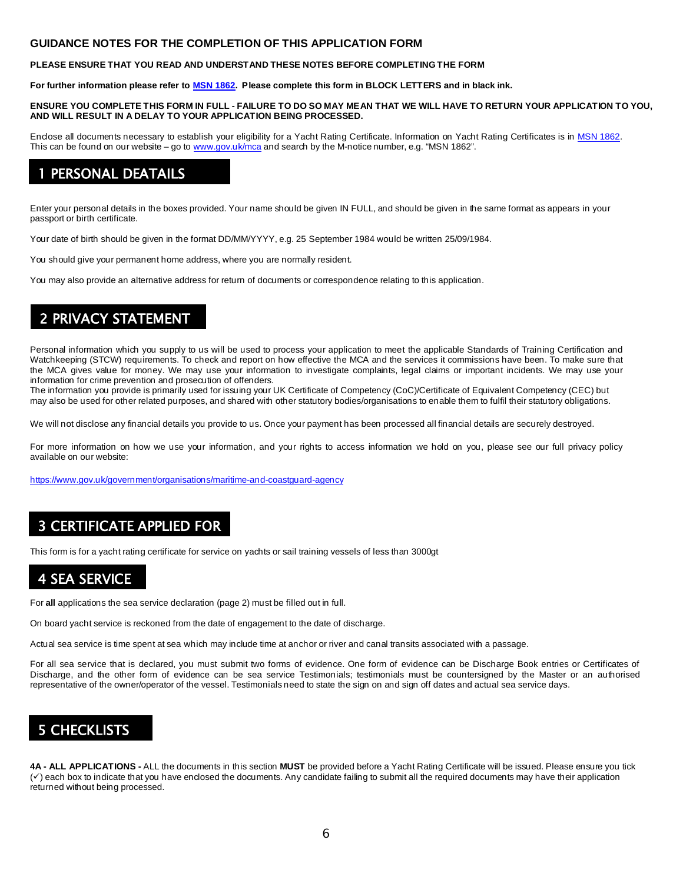### **GUIDANCE NOTES FOR THE COMPLETION OF THIS APPLICATION FORM**

#### **PLEASE ENSURE THAT YOU READ AND UNDERSTAND THESE NOTES BEFORE COMPLETING THE FORM**

**For further information please refer to [MSN 1862.](https://www.gov.uk/government/publications/msn-1862-m-uk-requirements-for-deck-ratings) Please complete this form in BLOCK LETTERS and in black ink.** 

#### **ENSURE YOU COMPLETE THIS FORM IN FULL - FAILURE TO DO SO MAY MEAN THAT WE WILL HAVE TO RETURN YOUR APPLICATION TO YOU, AND WILL RESULT IN A DELAY TO YOUR APPLICATION BEING PROCESSED.**

Enclose all documents necessary to establish your eligibility for a Yacht Rating Certificate. Information on Yacht Rating Certificates is in [MSN 1862.](https://www.gov.uk/government/publications/msn-1862-m-uk-requirements-for-deck-ratings) This can be found on our website – go to [www.gov.uk/mca](http://www.gov.uk/mca) and search by the M-notice number, e.g. "MSN 1862".

## PERSONAL DEATAILS

Enter your personal details in the boxes provided. Your name should be given IN FULL, and should be given in the same format as appears in your passport or birth certificate.

Your date of birth should be given in the format DD/MM/YYYY, e.g. 25 September 1984 would be written 25/09/1984.

You should give your permanent home address, where you are normally resident.

You may also provide an alternative address for return of documents or correspondence relating to this application.

# 2 PRIVACY STATEMENT

Personal information which you supply to us will be used to process your application to meet the applicable Standards of Training Certification and Watchkeeping (STCW) requirements. To check and report on how effective the MCA and the services it commissions have been. To make sure that the MCA gives value for money. We may use your information to investigate complaints, legal claims or important incidents. We may use your information for crime prevention and prosecution of offenders.

The information you provide is primarily used for issuing your UK Certificate of Competency (CoC)/Certificate of Equivalent Competency (CEC) but may also be used for other related purposes, and shared with other statutory bodies/organisations to enable them to fulfil their statutory obligations.

We will not disclose any financial details you provide to us. Once your payment has been processed all financial details are securely destroyed.

For more information on how we use your information, and your rights to access information we hold on you, please see our full privacy policy available on our website:

<https://www.gov.uk/government/organisations/maritime-and-coastguard-agency>

# 3 CERTIFICATE APPLIED FOR

This form is for a yacht rating certificate for service on yachts or sail training vessels of less than 3000gt

# 4 SEA SERVICE

For **all** applications the sea service declaration (page 2) must be filled out in full.

On board yacht service is reckoned from the date of engagement to the date of discharge.

Actual sea service is time spent at sea which may include time at anchor or river and canal transits associated with a passage.

For all sea service that is declared, you must submit two forms of evidence. One form of evidence can be Discharge Book entries or Certificates of Discharge, and the other form of evidence can be sea service Testimonials; testimonials must be countersigned by the Master or an authorised representative of the owner/operator of the vessel. Testimonials need to state the sign on and sign off dates and actual sea service days.

## 5 CHECKLISTS

ī

**4A - ALL APPLICATIONS -** ALL the documents in this section **MUST** be provided before a Yacht Rating Certificate will be issued. Please ensure you tick  $(\check{v})$  each box to indicate that you have enclosed the documents. Any candidate failing to submit all the required documents may have their application returned without being processed.